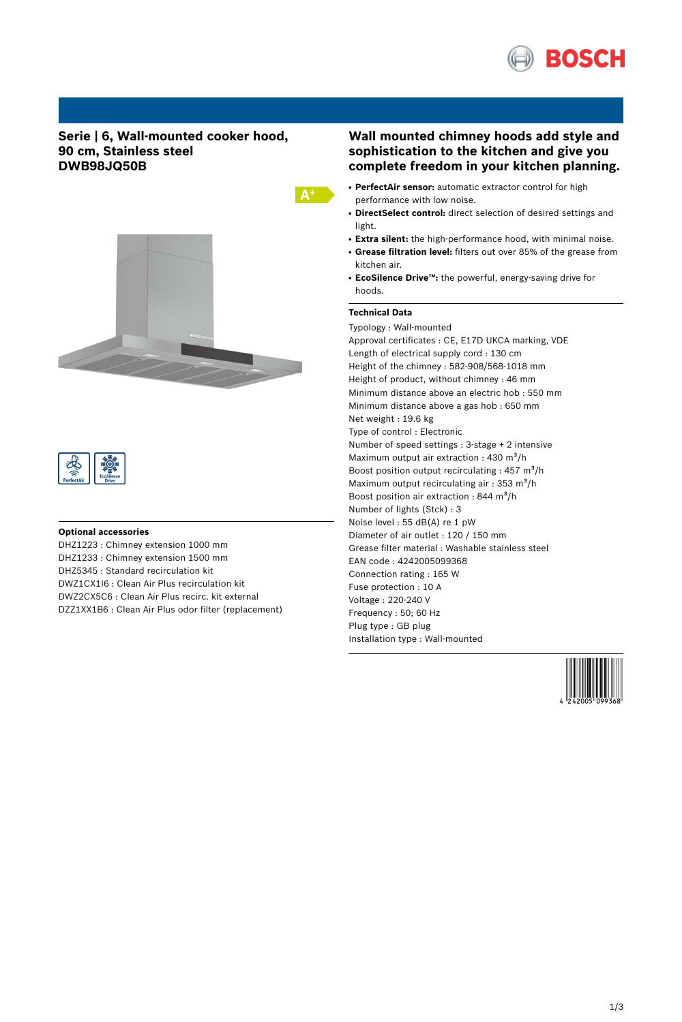

## **Serie | 6, Wall-mounted cooker hood, 90 cm, Stainless steel DWB98JQ50B**





#### **Optional accessories**

DHZ1223 : Chimney extension 1000 mm DHZ1233 : Chimney extension 1500 mm DHZ5345 : Standard recirculation kit DWZ1CX1I6 : Clean Air Plus recirculation kit DWZ2CX5C6 : Clean Air Plus recirc. kit external DZZ1XX1B6 : Clean Air Plus odor filter (replacement)

# **Wall mounted chimney hoods add style and sophistication to the kitchen and give you complete freedom in your kitchen planning.**

- **PerfectAir sensor:** automatic extractor control for high performance with low noise.
- DirectSelect control: direct selection of desired settings and light.
- **Extra silent:** the high-performance hood, with minimal noise.
- **Grease filtration level:** filters out over 85% of the grease from kitchen air.
- **EcoSilence Drive™:** the powerful, energy-saving drive for hoods.

## **Technical Data**

 $A^+$ 

Typology : Wall-mounted Approval certificates : CE, E17D UKCA marking, VDE Length of electrical supply cord : 130 cm Height of the chimney : 582-908/568-1018 mm Height of product, without chimney : 46 mm Minimum distance above an electric hob : 550 mm Minimum distance above a gas hob : 650 mm Net weight : 19.6 kg Type of control : Electronic Number of speed settings : 3-stage + 2 intensive Maximum output air extraction :  $430 \text{ m}^3\text{/h}$ Boost position output recirculating :  $457 \text{ m}^3\text{/h}$ Maximum output recirculating air :  $353 \text{ m}^3\text{/h}$ Boost position air extraction : 844 m<sup>3</sup>/h Number of lights (Stck) : 3 Noise level : 55 dB(A) re 1 pW Diameter of air outlet : 120 / 150 mm Grease filter material : Washable stainless steel EAN code : 4242005099368 Connection rating : 165 W Fuse protection : 10 A Voltage : 220-240 V Frequency : 50; 60 Hz Plug type : GB plug Installation type : Wall-mounted

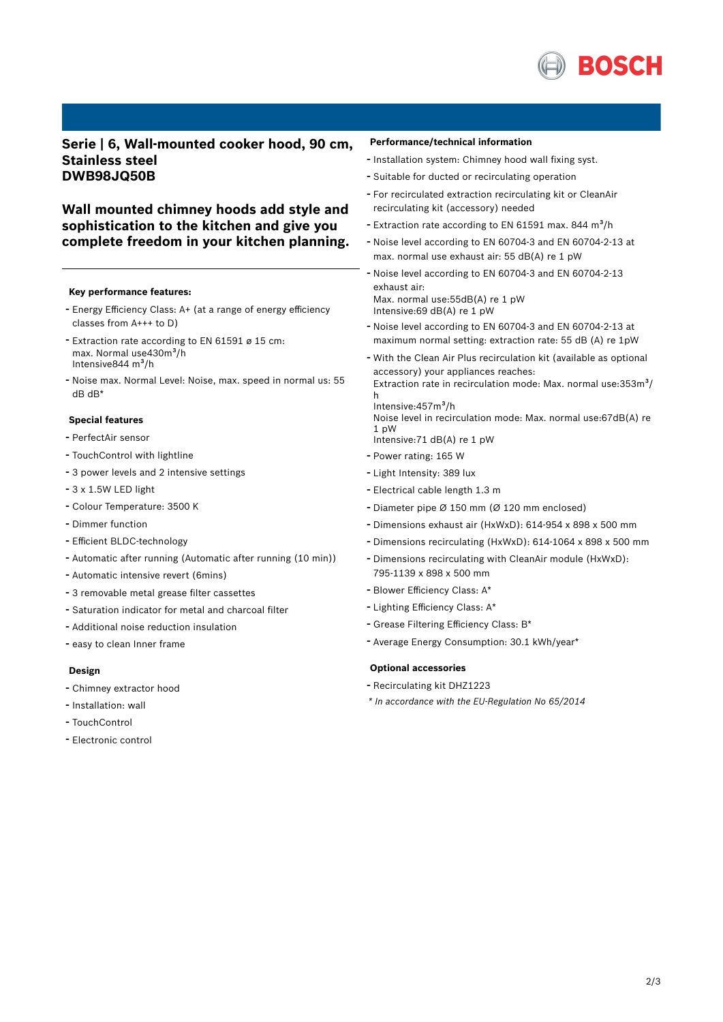

# **Serie | 6, Wall-mounted cooker hood, 90 cm, Stainless steel DWB98JQ50B**

# **Wall mounted chimney hoods add style and sophistication to the kitchen and give you complete freedom in your kitchen planning.**

#### **Key performance features:**

- Energy Efficiency Class: A+ (at <sup>a</sup> range of energy efficiency classes from A+++ to D)
- Extraction rate according to EN <sup>61591</sup> <sup>ø</sup> <sup>15</sup> cm: max. Normal use430m<sup>3</sup>/h Intensive844 m<sup>3</sup>/h
- Noise max. Normal Level: Noise, max. speed in normal us: <sup>55</sup> dB dB\*

## **Special features**

- PerfectAir sensor
- TouchControl with lightline
- <sup>3</sup> power levels and <sup>2</sup> intensive settings
- 3 x 1.5W LED light
- Colour Temperature: <sup>3500</sup> <sup>K</sup>
- Dimmer function
- Efficient BLDC-technology
- Automatic after running (Automatic after running (10 min))
- Automatic intensive revert (6mins)
- <sup>3</sup> removable metal grease filter cassettes
- Saturation indicator for metal and charcoal filter
- Additional noise reduction insulation
- easy to clean Inner frame

## **Design**

- Chimney extractor hood
- Installation: wall
- TouchControl
- Electronic control

#### **Performance/technical information**

- Installation system: Chimney hood wall fixing syst.
- Suitable for ducted or recirculating operation
- For recirculated extraction recirculating kit or CleanAir recirculating kit (accessory) needed
- Extraction rate according to EN 61591 max. 844  $m^3/h$
- Noise level according to EN 60704-3 and EN 60704-2-13 at max. normal use exhaust air: 55 dB(A) re 1 pW
- Noise level according to EN 60704-3 and EN 60704-2-13 exhaust air: Max. normal use:55dB(A) re 1 pW Intensive:69 dB(A) re 1 pW
- Noise level according to EN 60704-3 and EN 60704-2-13 at maximum normal setting: extraction rate: 55 dB (A) re 1pW
- With the Clean Air Plus recirculation kit (available as optional accessory) your appliances reaches: Extraction rate in recirculation mode: Max. normal use:353m<sup>3</sup>/ h Intensive: 457m<sup>3</sup>/h
	- Noise level in recirculation mode: Max. normal use:67dB(A) re 1 pW Intensive:71 dB(A) re 1 pW
- Power rating: <sup>165</sup> <sup>W</sup>
- Light Intensity: <sup>389</sup> lux
- Electrical cable length 1.3 <sup>m</sup>
- Diameter pipe <sup>Ø</sup> <sup>150</sup> mm (Ø <sup>120</sup> mm enclosed)
- Dimensions exhaust air (HxWxD): 614-954 <sup>x</sup> <sup>898</sup> <sup>x</sup> <sup>500</sup> mm
- Dimensions recirculating (HxWxD): 614-1064 <sup>x</sup> <sup>898</sup> <sup>x</sup> <sup>500</sup> mm
- Dimensions recirculating with CleanAir module (HxWxD): 795-1139 x 898 x 500 mm
- Blower Efficiency Class: A\*
- Lighting Efficiency Class: A\*
- Grease Filtering Efficiency Class: B\*
- Average Energy Consumption: 30.1 kWh/year\*

#### **Optional accessories**

- Recirculating kit DHZ1223
- *\* In accordance with the EU-Regulation No 65/2014*